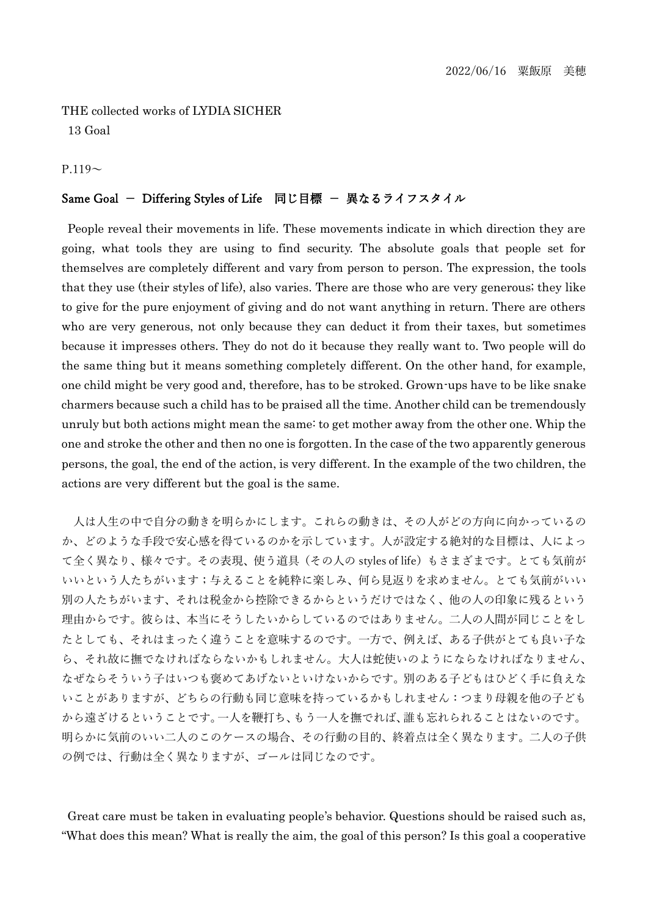THE collected works of LYDIA SICHER 13 Goal

## $P.119<sub>~</sub>$

## Same Goal - Differing Styles of Life 同じ目標 - 異なるライフスタイル

People reveal their movements in life. These movements indicate in which direction they are going, what tools they are using to find security. The absolute goals that people set for themselves are completely different and vary from person to person. The expression, the tools that they use (their styles of life), also varies. There are those who are very generous; they like to give for the pure enjoyment of giving and do not want anything in return. There are others who are very generous, not only because they can deduct it from their taxes, but sometimes because it impresses others. They do not do it because they really want to. Two people will do the same thing but it means something completely different. On the other hand, for example, one child might be very good and, therefore, has to be stroked. Grown-ups have to be like snake charmers because such a child has to be praised all the time. Another child can be tremendously unruly but both actions might mean the same: to get mother away from the other one. Whip the one and stroke the other and then no one is forgotten. In the case of the two apparently generous persons, the goal, the end of the action, is very different. In the example of the two children, the actions are very different but the goal is the same.

人は人生の中で自分の動きを明らかにします。これらの動きは、その人がどの方向に向かっているの か、どのような手段で安心感を得ているのかを示しています。人が設定する絶対的な目標は、人によっ て全く異なり、様々です。その表現、使う道具(その人の styles of life)もさまざまです。とても気前が いいという人たちがいます;与えることを純粋に楽しみ、何ら見返りを求めません。とても気前がいい 別の人たちがいます、それは税金から控除できるからというだけではなく、他の人の印象に残るという 理由からです。彼らは、本当にそうしたいからしているのではありません。二人の人間が同じことをし たとしても、それはまったく違うことを意味するのです。一方で、例えば、ある子供がとても良い子な ら、それ故に撫でなければならないかもしれません。大人は蛇使いのようにならなければなりません、 なぜならそういう子はいつも褒めてあげないといけないからです。別のある子どもはひどく手に負えな いことがありますが、どちらの行動も同じ意味を持っているかもしれません:つまり母親を他の子ども から遠ざけるということです。一人を鞭打ち、もう一人を撫でれば、誰も忘れられることはないのです。 明らかに気前のいい二人のこのケースの場合、その行動の目的、終着点は全く異なります。二人の子供 の例では、行動は全く異なりますが、ゴールは同じなのです。

Great care must be taken in evaluating people's behavior. Questions should be raised such as, "What does this mean? What is really the aim, the goal of this person? Is this goal a cooperative